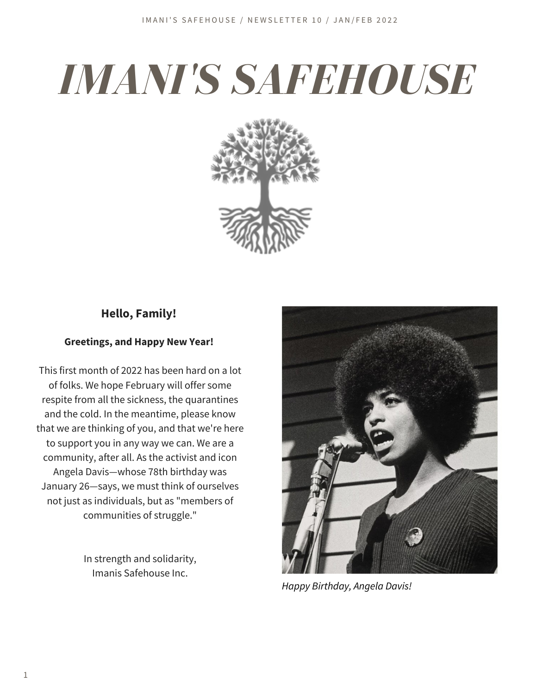# *IMANI'S SAFEHOUSE*



### **Hello, Family!**

### **Greetings, and Happy New Year!**

This first month of 2022 has been hard on a lot of folks. We hope February will offer some respite from all the sickness, the quarantines and the cold. In the meantime, please know that we are thinking of you, and that we're here to support you in any way we can. We are a community, after all. As the activist and icon Angela Davis—whose 78th birthday was January 26—says, we must think of ourselves not just as individuals, but as "members of communities of struggle."

> In strength and solidarity, Imanis Safehouse Inc.



*Happy Birthday, Angela Davis!*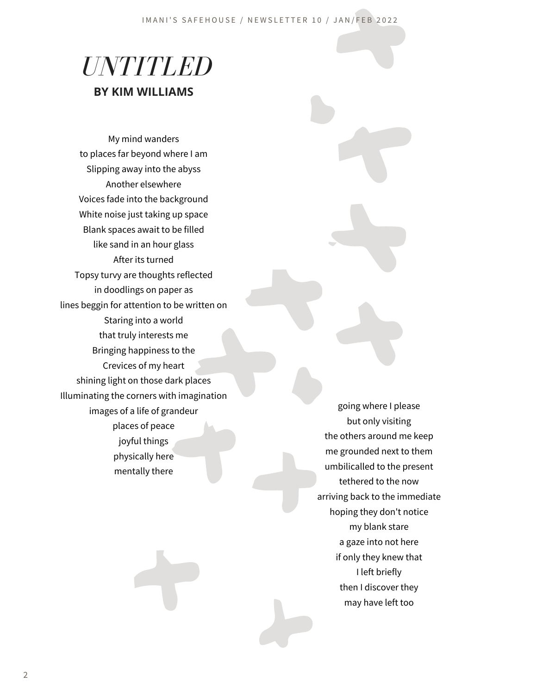#### IMANI'S SAFEHOUSE / NEWSLETTER 10 / JAN/FEB 2022

### *UNTITLED* **BY KIM WILLIAMS**

My mind wanders to places far beyond where I am Slipping away into the abyss Another elsewhere Voices fade into the background White noise just taking up space Blank spaces await to be filled like sand in an hour glass After its turned Topsy turvy are thoughts reflected in doodlings on paper as lines beggin for attention to be written on Staring into a world that truly interests me Bringing happiness to the Crevices of my heart shining light on those dark places Illuminating the corners with imagination images of a life of grandeur places of peace joyful things physically here mentally there

going where I please but only visiting the others around me keep me grounded next to them umbilicalled to the present tethered to the now arriving back to the immediate hoping they don't notice my blank stare a gaze into not here if only they knew that I left briefly then I discover they may have left too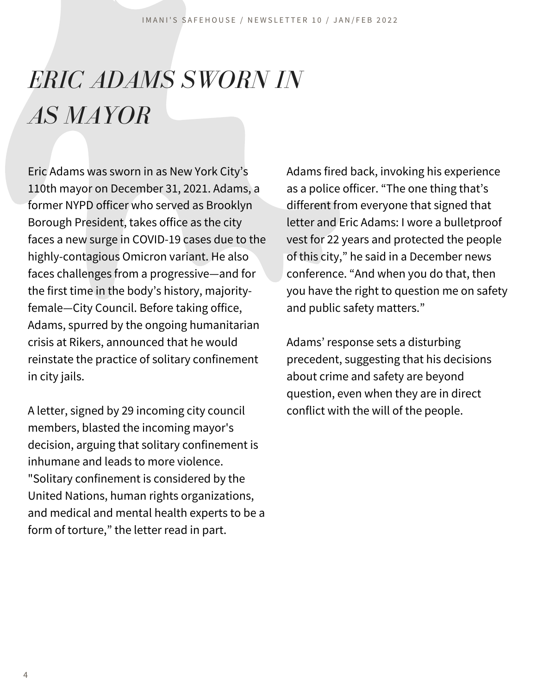## *ERIC ADAMS SWORN IN AS MAYOR*

Eric Adams was sworn in as New York City's 110th mayor on December 31, 2021. Adams, a former NYPD officer who served as Brooklyn Borough President, takes office as the city faces a new surge in COVID-19 cases due to the highly-contagious Omicron variant. He also faces challenges from a progressive—and for the first time in the body's history, majorityfemale—City Council. Before taking office, Adams, spurred by the ongoing humanitarian crisis at Rikers, announced that he would reinstate the practice of solitary confinement in city jails.

A letter, signed by 29 incoming city council members, blasted the incoming mayor's decision, arguing that solitary confinement is inhumane and leads to more violence. "Solitary confinement is considered by the United Nations, human rights organizations, and medical and mental health experts to be a form of torture," the letter read in part.

Adams fired back, invoking his experience as a police officer. "The one thing that's different from everyone that signed that letter and Eric Adams: I wore a bulletproof vest for 22 years and protected the people of this city," he said in a December news conference. "And when you do that, then you have the right to question me on safety and public safety matters."

Adams' response sets a disturbing precedent, suggesting that his decisions about crime and safety are beyond question, even when they are in direct conflict with the will of the people.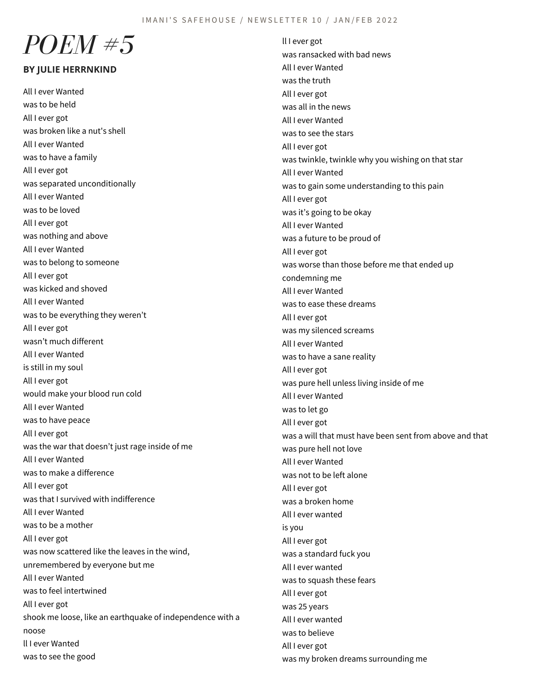

### **BY JULIE HERRNKIND**

All I ever Wanted was to be held All I ever got was broken like a nut's shell All I ever Wanted was to have a family All I ever got was separated unconditionally All I ever Wanted was to be loved All I ever got was nothing and above All I ever Wanted was to belong to someone All I ever got was kicked and shoved All I ever Wanted was to be everything they weren't All I ever got wasn't much different All I ever Wanted is still in my soul All I ever got would make your blood run cold All I ever Wanted was to have peace All I ever got was the war that doesn't just rage inside of me All I ever Wanted was to make a difference All I ever got was that I survived with indifference All I ever Wanted was to be a mother All I ever got was now scattered like the leaves in the wind, unremembered by everyone but me All I ever Wanted was to feel intertwined All I ever got shook me loose, like an earthquake of independence with a noose ll I ever Wanted was to see the good

ll I ever got was ransacked with bad news All I ever Wanted was the truth All I ever got was all in the news All I ever Wanted was to see the stars All I ever got was twinkle, twinkle why you wishing on that star All I ever Wanted was to gain some understanding to this pain All I ever got was it's going to be okay All I ever Wanted was a future to be proud of All I ever got was worse than those before me that ended up condemning me All I ever Wanted was to ease these dreams All I ever got was my silenced screams All I ever Wanted was to have a sane reality All I ever got was pure hell unless living inside of me All I ever Wanted was to let go All I ever got was a will that must have been sent from above and that was pure hell not love All I ever Wanted was not to be left alone All I ever got was a broken home All I ever wanted is you All I ever got was a standard fuck you All I ever wanted was to squash these fears All I ever got was 25 years All I ever wanted was to believe All I ever got was my broken dreams surrounding me